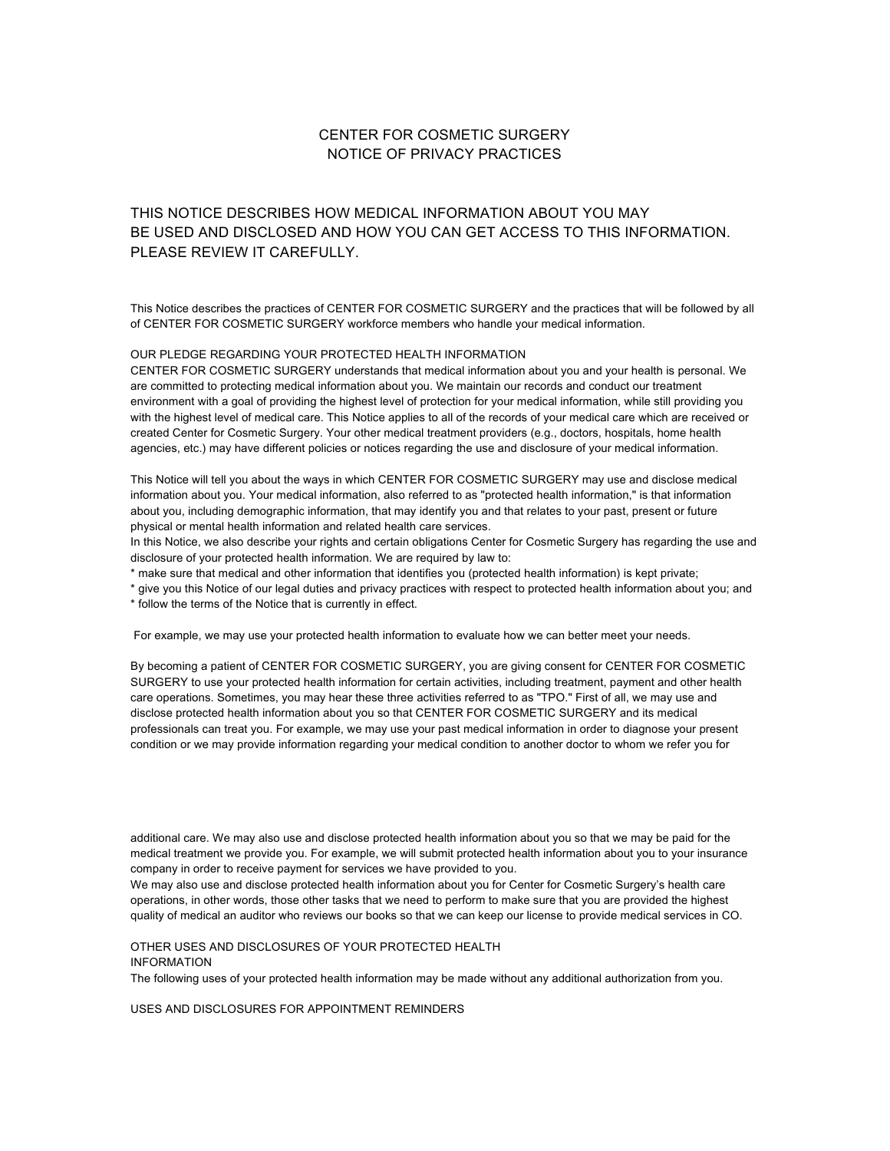# CENTER FOR COSMETIC SURGERY NOTICE OF PRIVACY PRACTICES

THIS NOTICE DESCRIBES HOW MEDICAL INFORMATION ABOUT YOU MAY BE USED AND DISCLOSED AND HOW YOU CAN GET ACCESS TO THIS INFORMATION. PLEASE REVIEW IT CAREFULLY.

This Notice describes the practices of CENTER FOR COSMETIC SURGERY and the practices that will be followed by all of CENTER FOR COSMETIC SURGERY workforce members who handle your medical information.

### OUR PLEDGE REGARDING YOUR PROTECTED HEALTH INFORMATION

CENTER FOR COSMETIC SURGERY understands that medical information about you and your health is personal. We are committed to protecting medical information about you. We maintain our records and conduct our treatment environment with a goal of providing the highest level of protection for your medical information, while still providing you with the highest level of medical care. This Notice applies to all of the records of your medical care which are received or created Center for Cosmetic Surgery. Your other medical treatment providers (e.g., doctors, hospitals, home health agencies, etc.) may have different policies or notices regarding the use and disclosure of your medical information.

This Notice will tell you about the ways in which CENTER FOR COSMETIC SURGERY may use and disclose medical information about you. Your medical information, also referred to as "protected health information," is that information about you, including demographic information, that may identify you and that relates to your past, present or future physical or mental health information and related health care services.

In this Notice, we also describe your rights and certain obligations Center for Cosmetic Surgery has regarding the use and disclosure of your protected health information. We are required by law to:

\* make sure that medical and other information that identifies you (protected health information) is kept private;

\* give you this Notice of our legal duties and privacy practices with respect to protected health information about you; and

\* follow the terms of the Notice that is currently in effect.

For example, we may use your protected health information to evaluate how we can better meet your needs.

By becoming a patient of CENTER FOR COSMETIC SURGERY, you are giving consent for CENTER FOR COSMETIC SURGERY to use your protected health information for certain activities, including treatment, payment and other health care operations. Sometimes, you may hear these three activities referred to as "TPO." First of all, we may use and disclose protected health information about you so that CENTER FOR COSMETIC SURGERY and its medical professionals can treat you. For example, we may use your past medical information in order to diagnose your present condition or we may provide information regarding your medical condition to another doctor to whom we refer you for

additional care. We may also use and disclose protected health information about you so that we may be paid for the medical treatment we provide you. For example, we will submit protected health information about you to your insurance company in order to receive payment for services we have provided to you.

We may also use and disclose protected health information about you for Center for Cosmetic Surgery's health care operations, in other words, those other tasks that we need to perform to make sure that you are provided the highest quality of medical an auditor who reviews our books so that we can keep our license to provide medical services in CO.

OTHER USES AND DISCLOSURES OF YOUR PROTECTED HEALTH INFORMATION

The following uses of your protected health information may be made without any additional authorization from you.

USES AND DISCLOSURES FOR APPOINTMENT REMINDERS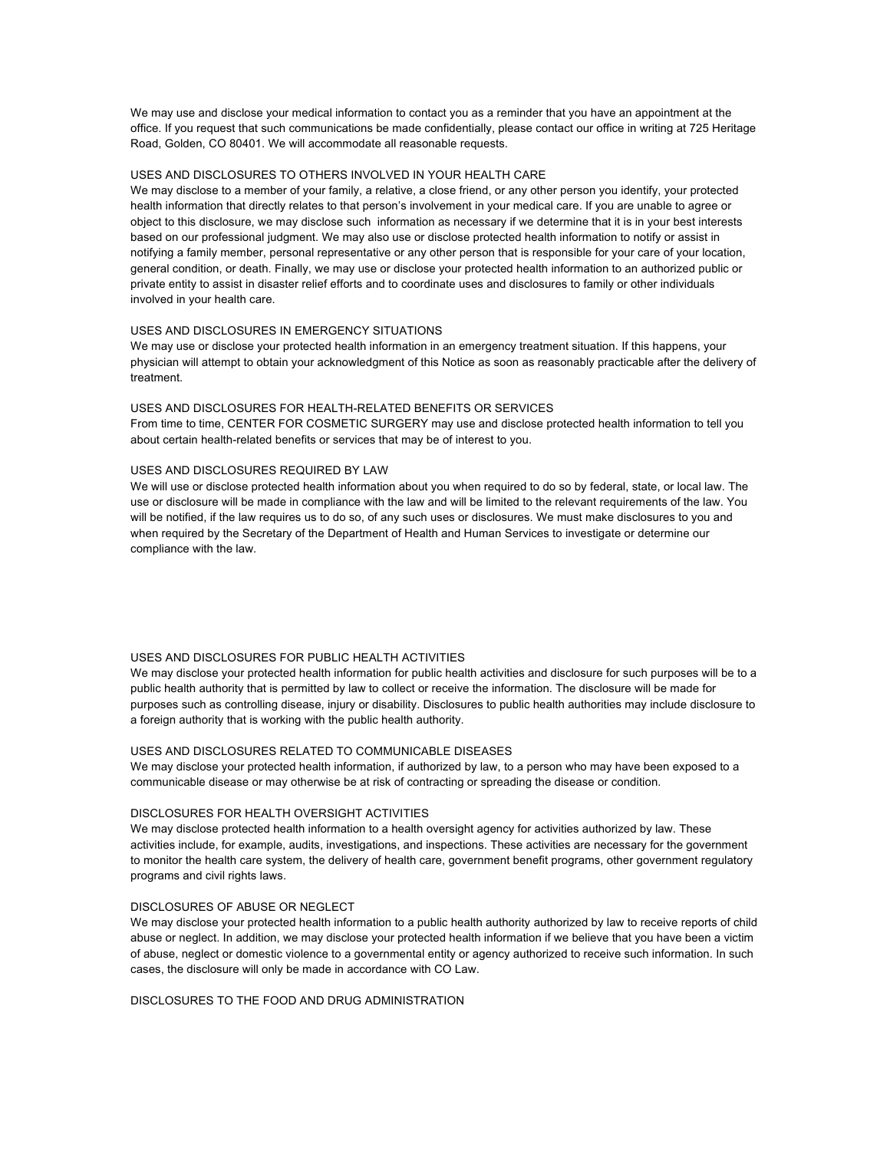We may use and disclose your medical information to contact you as a reminder that you have an appointment at the office. If you request that such communications be made confidentially, please contact our office in writing at 725 Heritage Road, Golden, CO 80401. We will accommodate all reasonable requests.

### USES AND DISCLOSURES TO OTHERS INVOLVED IN YOUR HEALTH CARE

We may disclose to a member of your family, a relative, a close friend, or any other person you identify, your protected health information that directly relates to that person's involvement in your medical care. If you are unable to agree or object to this disclosure, we may disclose such information as necessary if we determine that it is in your best interests based on our professional judgment. We may also use or disclose protected health information to notify or assist in notifying a family member, personal representative or any other person that is responsible for your care of your location, general condition, or death. Finally, we may use or disclose your protected health information to an authorized public or private entity to assist in disaster relief efforts and to coordinate uses and disclosures to family or other individuals involved in your health care.

### USES AND DISCLOSURES IN EMERGENCY SITUATIONS

We may use or disclose your protected health information in an emergency treatment situation. If this happens, your physician will attempt to obtain your acknowledgment of this Notice as soon as reasonably practicable after the delivery of treatment.

## USES AND DISCLOSURES FOR HEALTH-RELATED BENEFITS OR SERVICES

From time to time, CENTER FOR COSMETIC SURGERY may use and disclose protected health information to tell you about certain health-related benefits or services that may be of interest to you.

### USES AND DISCLOSURES REQUIRED BY LAW

We will use or disclose protected health information about you when required to do so by federal, state, or local law. The use or disclosure will be made in compliance with the law and will be limited to the relevant requirements of the law. You will be notified, if the law requires us to do so, of any such uses or disclosures. We must make disclosures to you and when required by the Secretary of the Department of Health and Human Services to investigate or determine our compliance with the law.

### USES AND DISCLOSURES FOR PUBLIC HEALTH ACTIVITIES

We may disclose your protected health information for public health activities and disclosure for such purposes will be to a public health authority that is permitted by law to collect or receive the information. The disclosure will be made for purposes such as controlling disease, injury or disability. Disclosures to public health authorities may include disclosure to a foreign authority that is working with the public health authority.

### USES AND DISCLOSURES RELATED TO COMMUNICABLE DISEASES

We may disclose your protected health information, if authorized by law, to a person who may have been exposed to a communicable disease or may otherwise be at risk of contracting or spreading the disease or condition.

### DISCLOSURES FOR HEALTH OVERSIGHT ACTIVITIES

We may disclose protected health information to a health oversight agency for activities authorized by law. These activities include, for example, audits, investigations, and inspections. These activities are necessary for the government to monitor the health care system, the delivery of health care, government benefit programs, other government regulatory programs and civil rights laws.

#### DISCLOSURES OF ABUSE OR NEGLECT

We may disclose your protected health information to a public health authority authorized by law to receive reports of child abuse or neglect. In addition, we may disclose your protected health information if we believe that you have been a victim of abuse, neglect or domestic violence to a governmental entity or agency authorized to receive such information. In such cases, the disclosure will only be made in accordance with CO Law.

DISCLOSURES TO THE FOOD AND DRUG ADMINISTRATION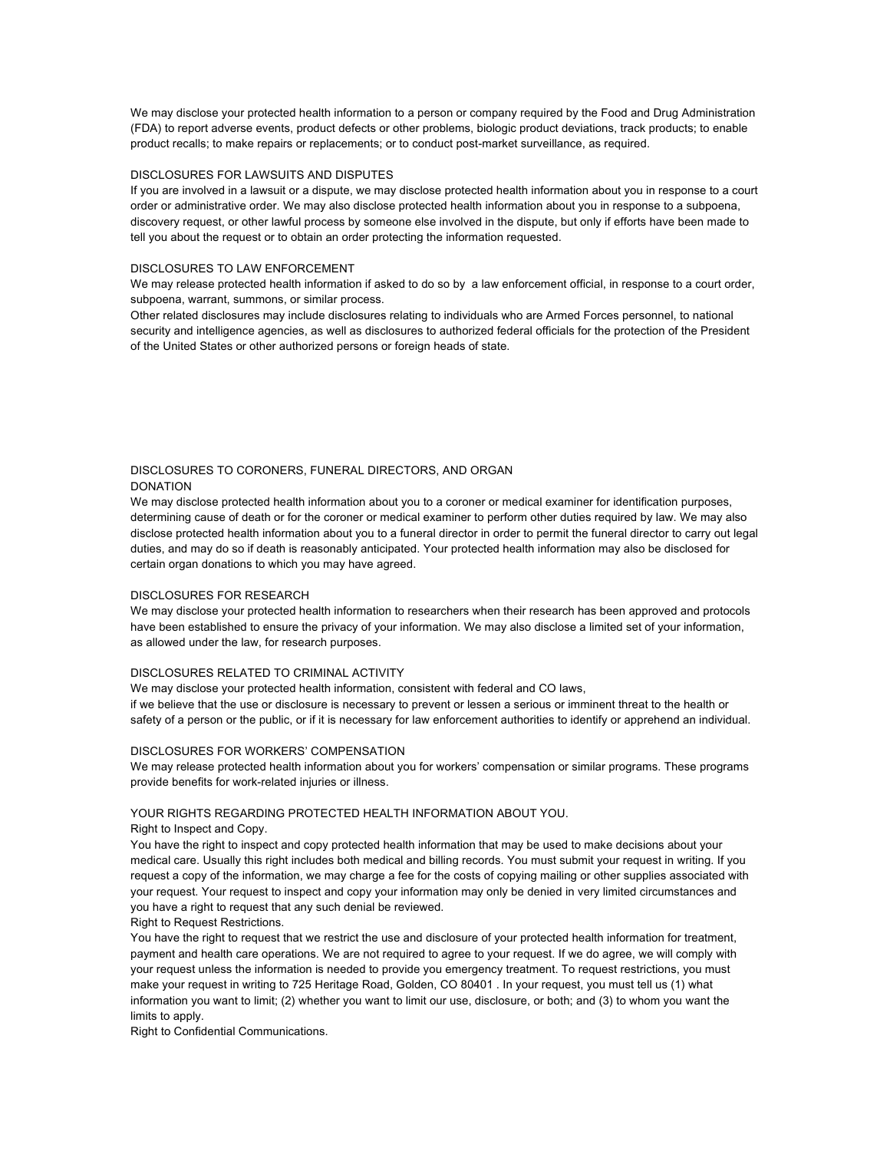We may disclose your protected health information to a person or company required by the Food and Drug Administration (FDA) to report adverse events, product defects or other problems, biologic product deviations, track products; to enable product recalls; to make repairs or replacements; or to conduct post-market surveillance, as required.

### DISCLOSURES FOR LAWSUITS AND DISPUTES

If you are involved in a lawsuit or a dispute, we may disclose protected health information about you in response to a court order or administrative order. We may also disclose protected health information about you in response to a subpoena, discovery request, or other lawful process by someone else involved in the dispute, but only if efforts have been made to tell you about the request or to obtain an order protecting the information requested.

#### DISCLOSURES TO LAW ENFORCEMENT

We may release protected health information if asked to do so by a law enforcement official, in response to a court order, subpoena, warrant, summons, or similar process.

Other related disclosures may include disclosures relating to individuals who are Armed Forces personnel, to national security and intelligence agencies, as well as disclosures to authorized federal officials for the protection of the President of the United States or other authorized persons or foreign heads of state.

### DISCLOSURES TO CORONERS, FUNERAL DIRECTORS, AND ORGAN DONATION

We may disclose protected health information about you to a coroner or medical examiner for identification purposes, determining cause of death or for the coroner or medical examiner to perform other duties required by law. We may also disclose protected health information about you to a funeral director in order to permit the funeral director to carry out legal duties, and may do so if death is reasonably anticipated. Your protected health information may also be disclosed for certain organ donations to which you may have agreed.

### DISCLOSURES FOR RESEARCH

We may disclose your protected health information to researchers when their research has been approved and protocols have been established to ensure the privacy of your information. We may also disclose a limited set of your information, as allowed under the law, for research purposes.

#### DISCLOSURES RELATED TO CRIMINAL ACTIVITY

We may disclose your protected health information, consistent with federal and CO laws, if we believe that the use or disclosure is necessary to prevent or lessen a serious or imminent threat to the health or safety of a person or the public, or if it is necessary for law enforcement authorities to identify or apprehend an individual.

#### DISCLOSURES FOR WORKERS' COMPENSATION

We may release protected health information about you for workers' compensation or similar programs. These programs provide benefits for work-related injuries or illness.

### YOUR RIGHTS REGARDING PROTECTED HEALTH INFORMATION ABOUT YOU.

Right to Inspect and Copy.

You have the right to inspect and copy protected health information that may be used to make decisions about your medical care. Usually this right includes both medical and billing records. You must submit your request in writing. If you request a copy of the information, we may charge a fee for the costs of copying mailing or other supplies associated with your request. Your request to inspect and copy your information may only be denied in very limited circumstances and you have a right to request that any such denial be reviewed.

#### Right to Request Restrictions.

You have the right to request that we restrict the use and disclosure of your protected health information for treatment, payment and health care operations. We are not required to agree to your request. If we do agree, we will comply with your request unless the information is needed to provide you emergency treatment. To request restrictions, you must make your request in writing to 725 Heritage Road, Golden, CO 80401 . In your request, you must tell us (1) what information you want to limit; (2) whether you want to limit our use, disclosure, or both; and (3) to whom you want the limits to apply.

Right to Confidential Communications.